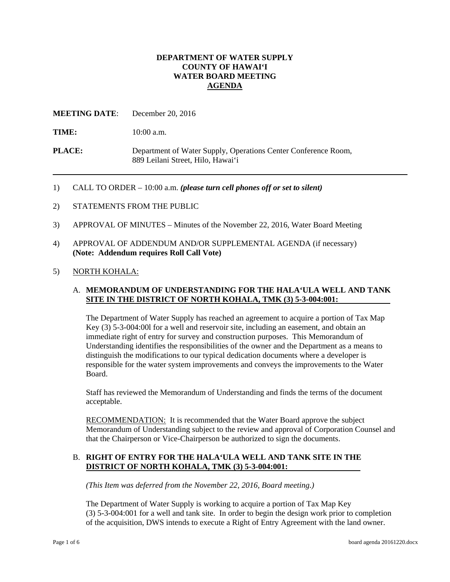# **DEPARTMENT OF WATER SUPPLY COUNTY OF HAWAI'I WATER BOARD MEETING AGENDA**

**MEETING DATE:** December 20, 2016

TIME: 10:00 a.m.

**PLACE:** Department of Water Supply, Operations Center Conference Room, 889 Leilani Street, Hilo, Hawai'i

- 1) CALL TO ORDER 10:00 a.m. *(please turn cell phones off or set to silent)*
- 2) STATEMENTS FROM THE PUBLIC
- 3) APPROVAL OF MINUTES Minutes of the November 22, 2016, Water Board Meeting
- 4) APPROVAL OF ADDENDUM AND/OR SUPPLEMENTAL AGENDA (if necessary) **(Note: Addendum requires Roll Call Vote)**
- 5) NORTH KOHALA:

### A. **MEMORANDUM OF UNDERSTANDING FOR THE HALA'ULA WELL AND TANK SITE IN THE DISTRICT OF NORTH KOHALA, TMK (3) 5-3-004:001:**

The Department of Water Supply has reached an agreement to acquire a portion of Tax Map Key (3) 5-3-004:00l for a well and reservoir site, including an easement, and obtain an immediate right of entry for survey and construction purposes. This Memorandum of Understanding identifies the responsibilities of the owner and the Department as a means to distinguish the modifications to our typical dedication documents where a developer is responsible for the water system improvements and conveys the improvements to the Water Board.

Staff has reviewed the Memorandum of Understanding and finds the terms of the document acceptable.

RECOMMENDATION: It is recommended that the Water Board approve the subject Memorandum of Understanding subject to the review and approval of Corporation Counsel and that the Chairperson or Vice-Chairperson be authorized to sign the documents.

# B. **RIGHT OF ENTRY FOR THE HALA'ULA WELL AND TANK SITE IN THE DISTRICT OF NORTH KOHALA, TMK (3) 5-3-004:001:**

*(This Item was deferred from the November 22, 2016, Board meeting.)* 

The Department of Water Supply is working to acquire a portion of Tax Map Key (3) 5-3-004:001 for a well and tank site. In order to begin the design work prior to completion of the acquisition, DWS intends to execute a Right of Entry Agreement with the land owner.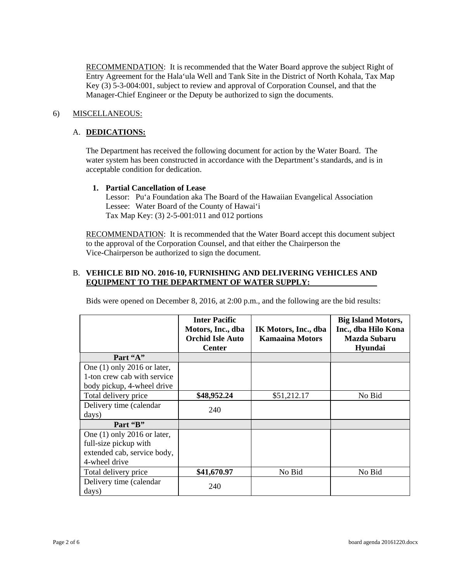RECOMMENDATION: It is recommended that the Water Board approve the subject Right of Entry Agreement for the Hala'ula Well and Tank Site in the District of North Kohala, Tax Map Key (3) 5-3-004:001, subject to review and approval of Corporation Counsel, and that the Manager-Chief Engineer or the Deputy be authorized to sign the documents.

# 6) MISCELLANEOUS:

### A. DEDICATIONS:

The Department has received the following document for action by the Water Board. The water system has been constructed in accordance with the Department's standards, and is in acceptable condition for dedication.

### **1. Partial Cancellation of Lease**

Lessor: Pu'a Foundation aka The Board of the Hawaiian Evangelical Association Lessee: Water Board of the County of Hawai'i Tax Map Key: (3) 2-5-001:011 and 012 portions

RECOMMENDATION: It is recommended that the Water Board accept this document subject to the approval of the Corporation Counsel, and that either the Chairperson the Vice-Chairperson be authorized to sign the document.

# B. **VEHICLE BID NO. 2016-10, FURNISHING AND DELIVERING VEHICLES AND EQUIPMENT TO THE DEPARTMENT OF WATER SUPPLY:**

Bids were opened on December 8, 2016, at 2:00 p.m., and the following are the bid results:

|                                                                                                        | <b>Inter Pacific</b><br>Motors, Inc., dba<br><b>Orchid Isle Auto</b><br><b>Center</b> | IK Motors, Inc., dba<br><b>Kamaaina Motors</b> | <b>Big Island Motors,</b><br>Inc., dba Hilo Kona<br><b>Mazda Subaru</b><br>Hyundai |
|--------------------------------------------------------------------------------------------------------|---------------------------------------------------------------------------------------|------------------------------------------------|------------------------------------------------------------------------------------|
| Part "A"                                                                                               |                                                                                       |                                                |                                                                                    |
| One $(1)$ only 2016 or later,                                                                          |                                                                                       |                                                |                                                                                    |
| 1-ton crew cab with service                                                                            |                                                                                       |                                                |                                                                                    |
| body pickup, 4-wheel drive                                                                             |                                                                                       |                                                |                                                                                    |
| Total delivery price                                                                                   | \$48,952.24                                                                           | \$51,212.17                                    | No Bid                                                                             |
| Delivery time (calendar                                                                                | 240                                                                                   |                                                |                                                                                    |
| days)                                                                                                  |                                                                                       |                                                |                                                                                    |
| Part "B"                                                                                               |                                                                                       |                                                |                                                                                    |
| One $(1)$ only 2016 or later,<br>full-size pickup with<br>extended cab, service body,<br>4-wheel drive |                                                                                       |                                                |                                                                                    |
| Total delivery price                                                                                   | \$41,670.97                                                                           | No Bid                                         | No Bid                                                                             |
| Delivery time (calendar<br>days)                                                                       | 240                                                                                   |                                                |                                                                                    |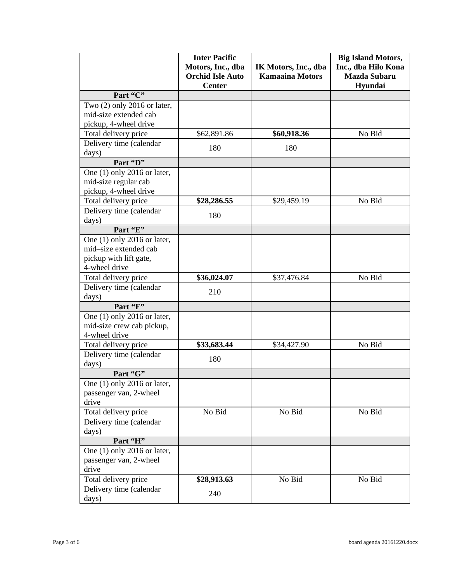|                               | <b>Inter Pacific</b><br>Motors, Inc., dba<br><b>Orchid Isle Auto</b><br><b>Center</b> | IK Motors, Inc., dba<br><b>Kamaaina Motors</b> | <b>Big Island Motors,</b><br>Inc., dba Hilo Kona<br><b>Mazda Subaru</b><br>Hyundai |
|-------------------------------|---------------------------------------------------------------------------------------|------------------------------------------------|------------------------------------------------------------------------------------|
| Part "C"                      |                                                                                       |                                                |                                                                                    |
| Two $(2)$ only 2016 or later, |                                                                                       |                                                |                                                                                    |
| mid-size extended cab         |                                                                                       |                                                |                                                                                    |
| pickup, 4-wheel drive         |                                                                                       |                                                |                                                                                    |
| Total delivery price          | \$62,891.86                                                                           | \$60,918.36                                    | No Bid                                                                             |
| Delivery time (calendar       | 180                                                                                   | 180                                            |                                                                                    |
| days)                         |                                                                                       |                                                |                                                                                    |
| Part "D"                      |                                                                                       |                                                |                                                                                    |
| One (1) only 2016 or later,   |                                                                                       |                                                |                                                                                    |
| mid-size regular cab          |                                                                                       |                                                |                                                                                    |
| pickup, 4-wheel drive         |                                                                                       |                                                |                                                                                    |
| Total delivery price          | \$28,286.55                                                                           | \$29,459.19                                    | No Bid                                                                             |
| Delivery time (calendar       | 180                                                                                   |                                                |                                                                                    |
| days)                         |                                                                                       |                                                |                                                                                    |
| Part "E"                      |                                                                                       |                                                |                                                                                    |
| One (1) only 2016 or later,   |                                                                                       |                                                |                                                                                    |
| mid-size extended cab         |                                                                                       |                                                |                                                                                    |
| pickup with lift gate,        |                                                                                       |                                                |                                                                                    |
| 4-wheel drive                 |                                                                                       |                                                |                                                                                    |
| Total delivery price          | \$36,024.07                                                                           | \$37,476.84                                    | No Bid                                                                             |
| Delivery time (calendar       | 210                                                                                   |                                                |                                                                                    |
| days)                         |                                                                                       |                                                |                                                                                    |
| Part "F"                      |                                                                                       |                                                |                                                                                    |
| One $(1)$ only 2016 or later, |                                                                                       |                                                |                                                                                    |
| mid-size crew cab pickup,     |                                                                                       |                                                |                                                                                    |
| 4-wheel drive                 |                                                                                       |                                                |                                                                                    |
| Total delivery price          | \$33,683.44                                                                           | \$34,427.90                                    | No Bid                                                                             |
| Delivery time (calendar       | 180                                                                                   |                                                |                                                                                    |
| days)                         |                                                                                       |                                                |                                                                                    |
| Part "G"                      |                                                                                       |                                                |                                                                                    |
| One $(1)$ only 2016 or later, |                                                                                       |                                                |                                                                                    |
| passenger van, 2-wheel        |                                                                                       |                                                |                                                                                    |
| drive                         |                                                                                       |                                                |                                                                                    |
| Total delivery price          | No Bid                                                                                | No Bid                                         | No Bid                                                                             |
| Delivery time (calendar       |                                                                                       |                                                |                                                                                    |
| days)                         |                                                                                       |                                                |                                                                                    |
| Part "H"                      |                                                                                       |                                                |                                                                                    |
| One (1) only 2016 or later,   |                                                                                       |                                                |                                                                                    |
| passenger van, 2-wheel        |                                                                                       |                                                |                                                                                    |
| drive                         |                                                                                       |                                                |                                                                                    |
| Total delivery price          | \$28,913.63                                                                           | No Bid                                         | No Bid                                                                             |
| Delivery time (calendar       | 240                                                                                   |                                                |                                                                                    |
| days)                         |                                                                                       |                                                |                                                                                    |
|                               |                                                                                       |                                                |                                                                                    |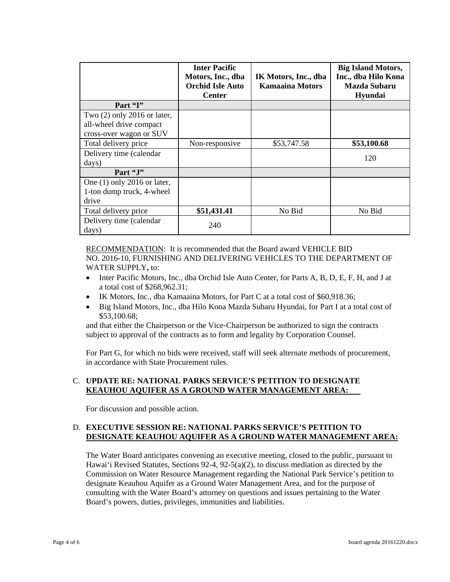|                               | <b>Inter Pacific</b><br>Motors, Inc., dba<br><b>Orchid Isle Auto</b><br><b>Center</b> | IK Motors, Inc., dba<br>Kamaaina Motors | <b>Big Island Motors,</b><br>Inc., dba Hilo Kona<br>Mazda Subaru<br>Hyundai |
|-------------------------------|---------------------------------------------------------------------------------------|-----------------------------------------|-----------------------------------------------------------------------------|
| Part "I"                      |                                                                                       |                                         |                                                                             |
| Two $(2)$ only 2016 or later, |                                                                                       |                                         |                                                                             |
| all-wheel drive compact       |                                                                                       |                                         |                                                                             |
| cross-over wagon or SUV       |                                                                                       |                                         |                                                                             |
| Total delivery price          | Non-responsive                                                                        | \$53,747.58                             | \$53,100.68                                                                 |
| Delivery time (calendar       |                                                                                       |                                         | 120                                                                         |
| days)                         |                                                                                       |                                         |                                                                             |
| Part "J"                      |                                                                                       |                                         |                                                                             |
| One $(1)$ only 2016 or later, |                                                                                       |                                         |                                                                             |
| 1-ton dump truck, 4-wheel     |                                                                                       |                                         |                                                                             |
| drive                         |                                                                                       |                                         |                                                                             |
| Total delivery price          | \$51,431.41                                                                           | No Bid                                  | No Bid                                                                      |
| Delivery time (calendar       | 240                                                                                   |                                         |                                                                             |
| days)                         |                                                                                       |                                         |                                                                             |

RECOMMENDATION: It is recommended that the Board award VEHICLE BID NO. 2016-10, FURNISHING AND DELIVERING VEHICLES TO THE DEPARTMENT OF WATER SUPPLY**,** to:

- Inter Pacific Motors, Inc., dba Orchid Isle Auto Center, for Parts A, B, D, E, F, H, and J at a total cost of \$268,962.31;
- IK Motors, Inc., dba Kamaaina Motors, for Part C at a total cost of \$60,918.36;
- Big Island Motors, Inc., dba Hilo Kona Mazda Subaru Hyundai, for Part I at a total cost of \$53,100.68;

and that either the Chairperson or the Vice-Chairperson be authorized to sign the contracts subject to approval of the contracts as to form and legality by Corporation Counsel.

For Part G, for which no bids were received, staff will seek alternate methods of procurement, in accordance with State Procurement rules.

# C. **UPDATE RE: NATIONAL PARKS SERVICE'S PETITION TO DESIGNATE KEAUHOU AQUIFER AS A GROUND WATER MANAGEMENT AREA:**

For discussion and possible action.

### D. **EXECUTIVE SESSION RE: NATIONAL PARKS SERVICE'S PETITION TO DESIGNATE KEAUHOU AQUIFER AS A GROUND WATER MANAGEMENT AREA:**

The Water Board anticipates convening an executive meeting, closed to the public, pursuant to Hawai'i Revised Statutes, Sections 92-4, 92-5(a)(2), to discuss mediation as directed by the Commission on Water Resource Management regarding the National Park Service's petition to designate Keauhou Aquifer as a Ground Water Management Area, and for the purpose of consulting with the Water Board's attorney on questions and issues pertaining to the Water Board's powers, duties, privileges, immunities and liabilities.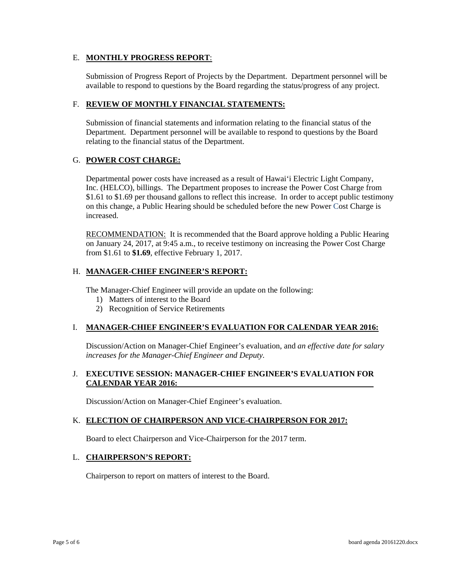### E. **MONTHLY PROGRESS REPORT**:

Submission of Progress Report of Projects by the Department. Department personnel will be available to respond to questions by the Board regarding the status/progress of any project.

### F. **REVIEW OF MONTHLY FINANCIAL STATEMENTS:**

Submission of financial statements and information relating to the financial status of the Department. Department personnel will be available to respond to questions by the Board relating to the financial status of the Department.

# G. **POWER COST CHARGE:**

Departmental power costs have increased as a result of Hawai'i Electric Light Company, Inc. (HELCO), billings. The Department proposes to increase the Power Cost Charge from \$1.61 to \$1.69 per thousand gallons to reflect this increase. In order to accept public testimony on this change, a Public Hearing should be scheduled before the new Power Cost Charge is increased.

RECOMMENDATION: It is recommended that the Board approve holding a Public Hearing on January 24, 2017, at 9:45 a.m., to receive testimony on increasing the Power Cost Charge from \$1.61 to **\$1.69**, effective February 1, 2017.

### H. **MANAGER-CHIEF ENGINEER'S REPORT:**

The Manager-Chief Engineer will provide an update on the following:

- 1) Matters of interest to the Board
- 2) Recognition of Service Retirements

# I. MANAGER-CHIEF ENGINEER'S EVALUATION FOR CALENDAR YEAR 2016:

Discussion/Action on Manager-Chief Engineer's evaluation, and *an effective date for salary increases for the Manager-Chief Engineer and Deputy.* 

# **J. EXECUTIVE SESSION: MANAGER-CHIEF ENGINEER'S EVALUATION FOR CALENDAR YEAR 2016:**

Discussion/Action on Manager-Chief Engineer's evaluation.

# K. ELECTION OF CHAIRPERSON AND VICE-CHAIRPERSON FOR 2017:

Board to elect Chairperson and Vice-Chairperson for the 2017 term.

#### L. **CHAIRPERSON'S REPORT:**

Chairperson to report on matters of interest to the Board.